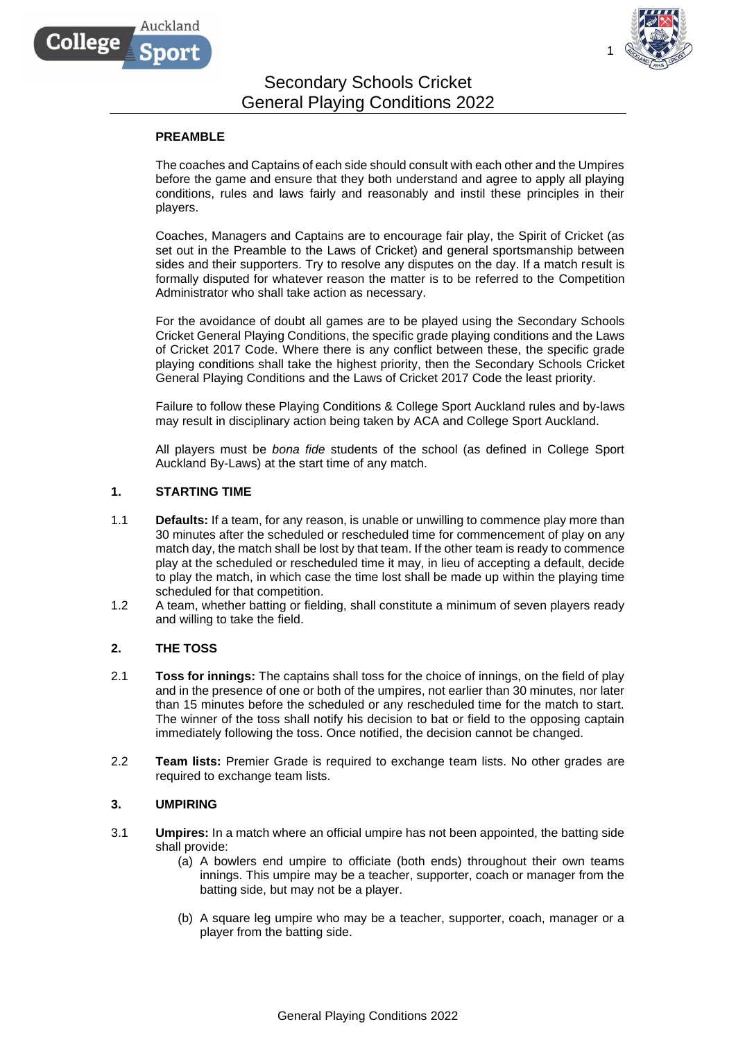

# Secondary Schools Cricket General Playing Conditions 2022

### **PREAMBLE**

Auckland

College

The coaches and Captains of each side should consult with each other and the Umpires before the game and ensure that they both understand and agree to apply all playing conditions, rules and laws fairly and reasonably and instil these principles in their players.

Coaches, Managers and Captains are to encourage fair play, the Spirit of Cricket (as set out in the Preamble to the Laws of Cricket) and general sportsmanship between sides and their supporters. Try to resolve any disputes on the day. If a match result is formally disputed for whatever reason the matter is to be referred to the Competition Administrator who shall take action as necessary.

For the avoidance of doubt all games are to be played using the Secondary Schools Cricket General Playing Conditions, the specific grade playing conditions and the Laws of Cricket 2017 Code. Where there is any conflict between these, the specific grade playing conditions shall take the highest priority, then the Secondary Schools Cricket General Playing Conditions and the Laws of Cricket 2017 Code the least priority.

Failure to follow these Playing Conditions & College Sport Auckland rules and by-laws may result in disciplinary action being taken by ACA and College Sport Auckland.

All players must be *bona fide* students of the school (as defined in College Sport Auckland By-Laws) at the start time of any match.

### **1. STARTING TIME**

- 1.1 **Defaults:** If a team, for any reason, is unable or unwilling to commence play more than 30 minutes after the scheduled or rescheduled time for commencement of play on any match day, the match shall be lost by that team. If the other team is ready to commence play at the scheduled or rescheduled time it may, in lieu of accepting a default, decide to play the match, in which case the time lost shall be made up within the playing time scheduled for that competition.
- 1.2 A team, whether batting or fielding, shall constitute a minimum of seven players ready and willing to take the field.

#### **2. THE TOSS**

- 2.1 **Toss for innings:** The captains shall toss for the choice of innings, on the field of play and in the presence of one or both of the umpires, not earlier than 30 minutes, nor later than 15 minutes before the scheduled or any rescheduled time for the match to start. The winner of the toss shall notify his decision to bat or field to the opposing captain immediately following the toss. Once notified, the decision cannot be changed.
- 2.2 **Team lists:** Premier Grade is required to exchange team lists. No other grades are required to exchange team lists.

#### **3. UMPIRING**

- 3.1 **Umpires:** In a match where an official umpire has not been appointed, the batting side shall provide:
	- (a) A bowlers end umpire to officiate (both ends) throughout their own teams innings. This umpire may be a teacher, supporter, coach or manager from the batting side, but may not be a player.
	- (b) A square leg umpire who may be a teacher, supporter, coach, manager or a player from the batting side.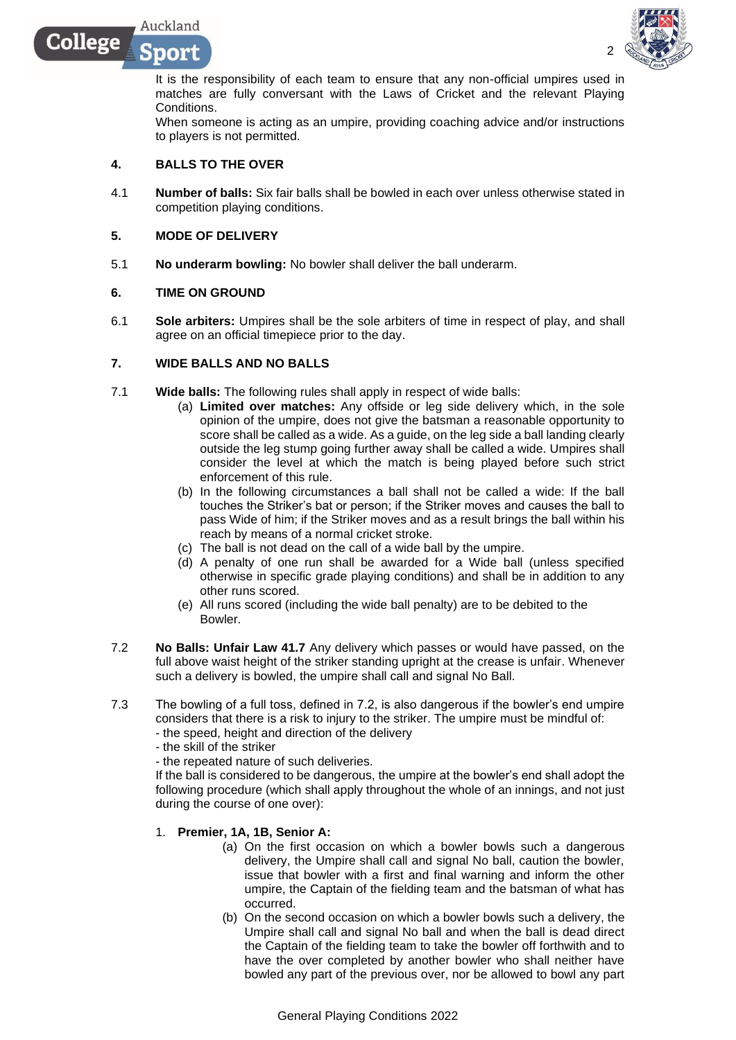$0(0)$  M

College



It is the responsibility of each team to ensure that any non-official umpires used in matches are fully conversant with the Laws of Cricket and the relevant Playing Conditions.

When someone is acting as an umpire, providing coaching advice and/or instructions to players is not permitted.

### **4. BALLS TO THE OVER**

4.1 **Number of balls:** Six fair balls shall be bowled in each over unless otherwise stated in competition playing conditions.

### **5. MODE OF DELIVERY**

5.1 **No underarm bowling:** No bowler shall deliver the ball underarm.

### **6. TIME ON GROUND**

6.1 **Sole arbiters:** Umpires shall be the sole arbiters of time in respect of play, and shall agree on an official timepiece prior to the day.

### **7. WIDE BALLS AND NO BALLS**

- 7.1 **Wide balls:** The following rules shall apply in respect of wide balls:
	- (a) **Limited over matches:** Any offside or leg side delivery which, in the sole opinion of the umpire, does not give the batsman a reasonable opportunity to score shall be called as a wide. As a guide, on the leg side a ball landing clearly outside the leg stump going further away shall be called a wide. Umpires shall consider the level at which the match is being played before such strict enforcement of this rule.
	- (b) In the following circumstances a ball shall not be called a wide: If the ball touches the Striker's bat or person; if the Striker moves and causes the ball to pass Wide of him; if the Striker moves and as a result brings the ball within his reach by means of a normal cricket stroke.
	- (c) The ball is not dead on the call of a wide ball by the umpire.
	- (d) A penalty of one run shall be awarded for a Wide ball (unless specified otherwise in specific grade playing conditions) and shall be in addition to any other runs scored.
	- (e) All runs scored (including the wide ball penalty) are to be debited to the Bowler.
- 7.2 **No Balls: Unfair Law 41.7** Any delivery which passes or would have passed, on the full above waist height of the striker standing upright at the crease is unfair. Whenever such a delivery is bowled, the umpire shall call and signal No Ball.
- 7.3 The bowling of a full toss, defined in 7.2, is also dangerous if the bowler's end umpire considers that there is a risk to injury to the striker. The umpire must be mindful of: - the speed, height and direction of the delivery
	- the skill of the striker
	- the repeated nature of such deliveries.

If the ball is considered to be dangerous, the umpire at the bowler's end shall adopt the following procedure (which shall apply throughout the whole of an innings, and not just during the course of one over):

#### 1. **Premier, 1A, 1B, Senior A:**

- (a) On the first occasion on which a bowler bowls such a dangerous delivery, the Umpire shall call and signal No ball, caution the bowler, issue that bowler with a first and final warning and inform the other umpire, the Captain of the fielding team and the batsman of what has occurred.
- (b) On the second occasion on which a bowler bowls such a delivery, the Umpire shall call and signal No ball and when the ball is dead direct the Captain of the fielding team to take the bowler off forthwith and to have the over completed by another bowler who shall neither have bowled any part of the previous over, nor be allowed to bowl any part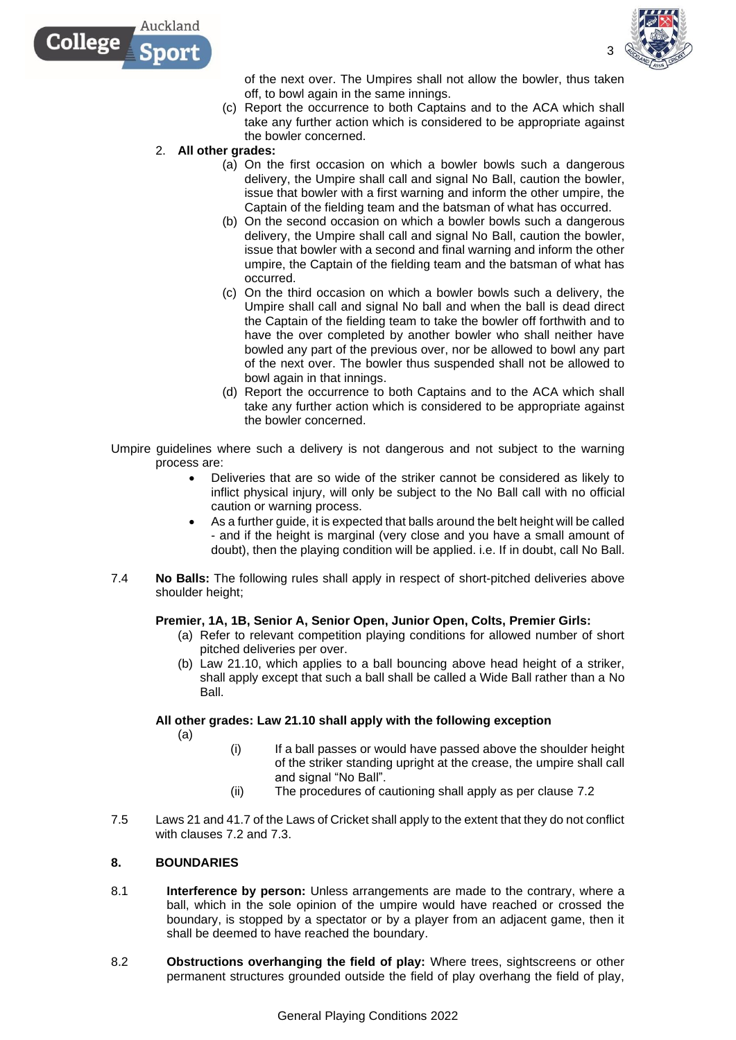



of the next over. The Umpires shall not allow the bowler, thus taken off, to bowl again in the same innings.

- (c) Report the occurrence to both Captains and to the ACA which shall take any further action which is considered to be appropriate against the bowler concerned.
- 2. **All other grades:** 
	- (a) On the first occasion on which a bowler bowls such a dangerous delivery, the Umpire shall call and signal No Ball, caution the bowler, issue that bowler with a first warning and inform the other umpire, the Captain of the fielding team and the batsman of what has occurred.
	- (b) On the second occasion on which a bowler bowls such a dangerous delivery, the Umpire shall call and signal No Ball, caution the bowler, issue that bowler with a second and final warning and inform the other umpire, the Captain of the fielding team and the batsman of what has occurred.
	- (c) On the third occasion on which a bowler bowls such a delivery, the Umpire shall call and signal No ball and when the ball is dead direct the Captain of the fielding team to take the bowler off forthwith and to have the over completed by another bowler who shall neither have bowled any part of the previous over, nor be allowed to bowl any part of the next over. The bowler thus suspended shall not be allowed to bowl again in that innings.
	- (d) Report the occurrence to both Captains and to the ACA which shall take any further action which is considered to be appropriate against the bowler concerned.
- Umpire guidelines where such a delivery is not dangerous and not subject to the warning process are:
	- Deliveries that are so wide of the striker cannot be considered as likely to inflict physical injury, will only be subject to the No Ball call with no official caution or warning process.
	- As a further guide, it is expected that balls around the belt height will be called - and if the height is marginal (very close and you have a small amount of doubt), then the playing condition will be applied. i.e. If in doubt, call No Ball.
- 7.4 **No Balls:** The following rules shall apply in respect of short-pitched deliveries above shoulder height;

## **Premier, 1A, 1B, Senior A, Senior Open, Junior Open, Colts, Premier Girls:**

- (a) Refer to relevant competition playing conditions for allowed number of short pitched deliveries per over.
- (b) Law 21.10, which applies to a ball bouncing above head height of a striker, shall apply except that such a ball shall be called a Wide Ball rather than a No Ball.

## **All other grades: Law 21.10 shall apply with the following exception**

(a)

- (i) If a ball passes or would have passed above the shoulder height of the striker standing upright at the crease, the umpire shall call and signal "No Ball".
- (ii) The procedures of cautioning shall apply as per clause 7.2
- 7.5 Laws 21 and 41.7 of the Laws of Cricket shall apply to the extent that they do not conflict with clauses 7.2 and 7.3.

## **8. BOUNDARIES**

- 8.1 **Interference by person:** Unless arrangements are made to the contrary, where a ball, which in the sole opinion of the umpire would have reached or crossed the boundary, is stopped by a spectator or by a player from an adjacent game, then it shall be deemed to have reached the boundary.
- 8.2 **Obstructions overhanging the field of play:** Where trees, sightscreens or other permanent structures grounded outside the field of play overhang the field of play,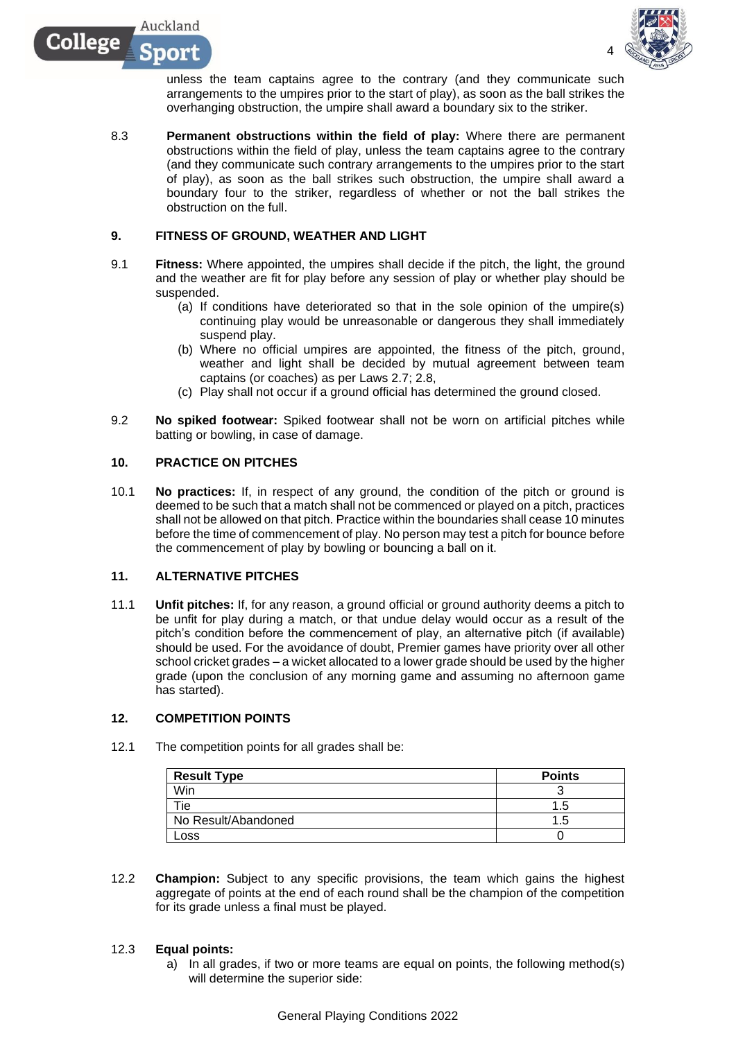

unless the team captains agree to the contrary (and they communicate such arrangements to the umpires prior to the start of play), as soon as the ball strikes the overhanging obstruction, the umpire shall award a boundary six to the striker.

8.3 **Permanent obstructions within the field of play:** Where there are permanent obstructions within the field of play, unless the team captains agree to the contrary (and they communicate such contrary arrangements to the umpires prior to the start of play), as soon as the ball strikes such obstruction, the umpire shall award a boundary four to the striker, regardless of whether or not the ball strikes the obstruction on the full.

### **9. FITNESS OF GROUND, WEATHER AND LIGHT**

- 9.1 **Fitness:** Where appointed, the umpires shall decide if the pitch, the light, the ground and the weather are fit for play before any session of play or whether play should be suspended.
	- (a) If conditions have deteriorated so that in the sole opinion of the umpire(s) continuing play would be unreasonable or dangerous they shall immediately suspend play.
	- (b) Where no official umpires are appointed, the fitness of the pitch, ground, weather and light shall be decided by mutual agreement between team captains (or coaches) as per Laws 2.7; 2.8,
	- (c) Play shall not occur if a ground official has determined the ground closed.
- 9.2 **No spiked footwear:** Spiked footwear shall not be worn on artificial pitches while batting or bowling, in case of damage.

### **10. PRACTICE ON PITCHES**

Auckland

nor

College

10.1 **No practices:** If, in respect of any ground, the condition of the pitch or ground is deemed to be such that a match shall not be commenced or played on a pitch, practices shall not be allowed on that pitch. Practice within the boundaries shall cease 10 minutes before the time of commencement of play. No person may test a pitch for bounce before the commencement of play by bowling or bouncing a ball on it.

### **11. ALTERNATIVE PITCHES**

11.1 **Unfit pitches:** If, for any reason, a ground official or ground authority deems a pitch to be unfit for play during a match, or that undue delay would occur as a result of the pitch's condition before the commencement of play, an alternative pitch (if available) should be used. For the avoidance of doubt, Premier games have priority over all other school cricket grades – a wicket allocated to a lower grade should be used by the higher grade (upon the conclusion of any morning game and assuming no afternoon game has started).

#### **12. COMPETITION POINTS**

12.1 The competition points for all grades shall be:

| <b>Result Type</b>  | <b>Points</b> |
|---------------------|---------------|
| Win                 |               |
| Tie                 |               |
| No Result/Abandoned | . 3           |
| ∟oss                |               |

12.2 **Champion:** Subject to any specific provisions, the team which gains the highest aggregate of points at the end of each round shall be the champion of the competition for its grade unless a final must be played.

#### 12.3 **Equal points:**

a) In all grades, if two or more teams are equal on points, the following method(s) will determine the superior side: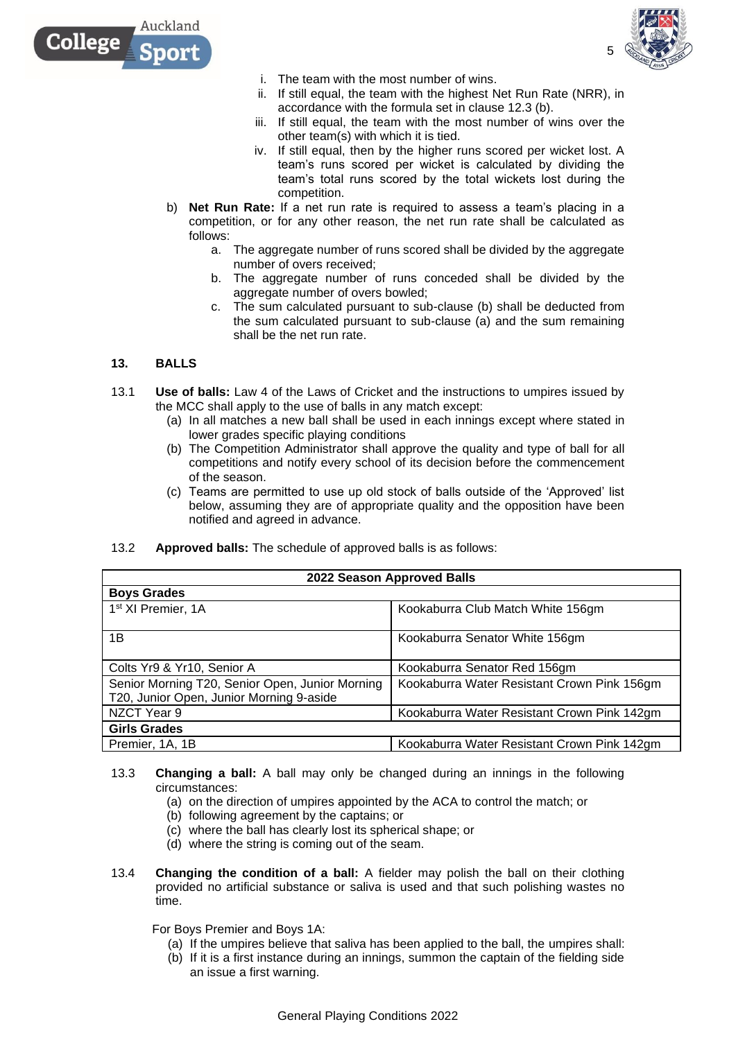

- i. The team with the most number of wins.
- ii. If still equal, the team with the highest Net Run Rate (NRR), in accordance with the formula set in clause 12.3 (b).
- iii. If still equal, the team with the most number of wins over the other team(s) with which it is tied.
- iv. If still equal, then by the higher runs scored per wicket lost. A team's runs scored per wicket is calculated by dividing the team's total runs scored by the total wickets lost during the competition.
- b) **Net Run Rate:** If a net run rate is required to assess a team's placing in a competition, or for any other reason, the net run rate shall be calculated as follows:
	- a. The aggregate number of runs scored shall be divided by the aggregate number of overs received;
	- b. The aggregate number of runs conceded shall be divided by the aggregate number of overs bowled:
	- c. The sum calculated pursuant to sub-clause (b) shall be deducted from the sum calculated pursuant to sub-clause (a) and the sum remaining shall be the net run rate.

## **13. BALLS**

Auckland

College

- 13.1 **Use of balls:** Law 4 of the Laws of Cricket and the instructions to umpires issued by the MCC shall apply to the use of balls in any match except:
	- (a) In all matches a new ball shall be used in each innings except where stated in lower grades specific playing conditions
	- (b) The Competition Administrator shall approve the quality and type of ball for all competitions and notify every school of its decision before the commencement of the season.
	- (c) Teams are permitted to use up old stock of balls outside of the 'Approved' list below, assuming they are of appropriate quality and the opposition have been notified and agreed in advance.
- 13.2 **Approved balls:** The schedule of approved balls is as follows:

| 2022 Season Approved Balls                                                                  |                                             |  |  |
|---------------------------------------------------------------------------------------------|---------------------------------------------|--|--|
| <b>Boys Grades</b>                                                                          |                                             |  |  |
| 1 <sup>st</sup> XI Premier, 1A                                                              | Kookaburra Club Match White 156gm           |  |  |
| 1B                                                                                          | Kookaburra Senator White 156gm              |  |  |
| Colts Yr9 & Yr10, Senior A                                                                  | Kookaburra Senator Red 156gm                |  |  |
| Senior Morning T20, Senior Open, Junior Morning<br>T20, Junior Open, Junior Morning 9-aside | Kookaburra Water Resistant Crown Pink 156gm |  |  |
| NZCT Year 9                                                                                 | Kookaburra Water Resistant Crown Pink 142gm |  |  |
| <b>Girls Grades</b>                                                                         |                                             |  |  |
| Premier, 1A, 1B                                                                             | Kookaburra Water Resistant Crown Pink 142gm |  |  |

- 13.3 **Changing a ball:** A ball may only be changed during an innings in the following circumstances:
	- (a) on the direction of umpires appointed by the ACA to control the match; or
	- (b) following agreement by the captains; or
	- (c) where the ball has clearly lost its spherical shape; or
	- (d) where the string is coming out of the seam.
- 13.4 **Changing the condition of a ball:** A fielder may polish the ball on their clothing provided no artificial substance or saliva is used and that such polishing wastes no time.

For Boys Premier and Boys 1A:

- (a) If the umpires believe that saliva has been applied to the ball, the umpires shall:
- (b) If it is a first instance during an innings, summon the captain of the fielding side an issue a first warning.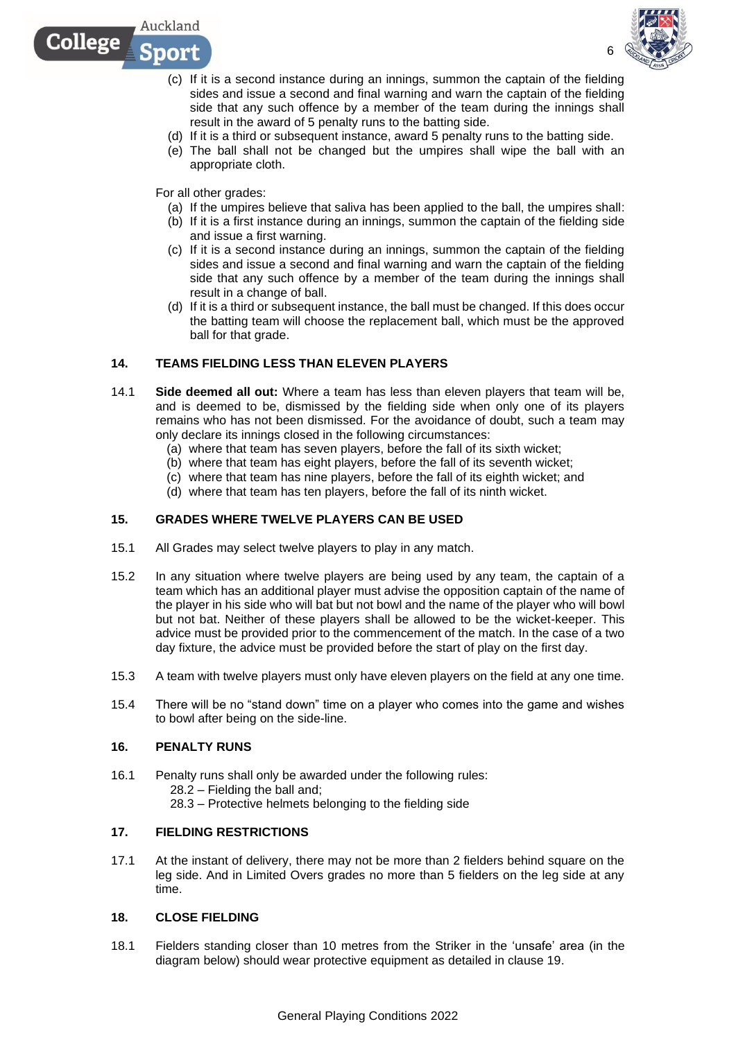



6

- (c) If it is a second instance during an innings, summon the captain of the fielding sides and issue a second and final warning and warn the captain of the fielding side that any such offence by a member of the team during the innings shall result in the award of 5 penalty runs to the batting side.
- (d) If it is a third or subsequent instance, award 5 penalty runs to the batting side.
- (e) The ball shall not be changed but the umpires shall wipe the ball with an appropriate cloth.

For all other grades:

- (a) If the umpires believe that saliva has been applied to the ball, the umpires shall:
- (b) If it is a first instance during an innings, summon the captain of the fielding side and issue a first warning.
- (c) If it is a second instance during an innings, summon the captain of the fielding sides and issue a second and final warning and warn the captain of the fielding side that any such offence by a member of the team during the innings shall result in a change of ball.
- (d) If it is a third or subsequent instance, the ball must be changed. If this does occur the batting team will choose the replacement ball, which must be the approved ball for that grade.

## **14. TEAMS FIELDING LESS THAN ELEVEN PLAYERS**

- 14.1 **Side deemed all out:** Where a team has less than eleven players that team will be, and is deemed to be, dismissed by the fielding side when only one of its players remains who has not been dismissed. For the avoidance of doubt, such a team may only declare its innings closed in the following circumstances:
	- (a) where that team has seven players, before the fall of its sixth wicket;
	- (b) where that team has eight players, before the fall of its seventh wicket;
	- (c) where that team has nine players, before the fall of its eighth wicket; and
	- (d) where that team has ten players, before the fall of its ninth wicket.

### **15. GRADES WHERE TWELVE PLAYERS CAN BE USED**

- 15.1 All Grades may select twelve players to play in any match.
- 15.2 In any situation where twelve players are being used by any team, the captain of a team which has an additional player must advise the opposition captain of the name of the player in his side who will bat but not bowl and the name of the player who will bowl but not bat. Neither of these players shall be allowed to be the wicket-keeper. This advice must be provided prior to the commencement of the match. In the case of a two day fixture, the advice must be provided before the start of play on the first day.
- 15.3 A team with twelve players must only have eleven players on the field at any one time.
- 15.4 There will be no "stand down" time on a player who comes into the game and wishes to bowl after being on the side-line.

#### **16. PENALTY RUNS**

16.1 Penalty runs shall only be awarded under the following rules: 28.2 – Fielding the ball and; 28.3 – Protective helmets belonging to the fielding side

## **17. FIELDING RESTRICTIONS**

17.1 At the instant of delivery, there may not be more than 2 fielders behind square on the leg side. And in Limited Overs grades no more than 5 fielders on the leg side at any time.

#### **18. CLOSE FIELDING**

18.1 Fielders standing closer than 10 metres from the Striker in the 'unsafe' area (in the diagram below) should wear protective equipment as detailed in clause 19.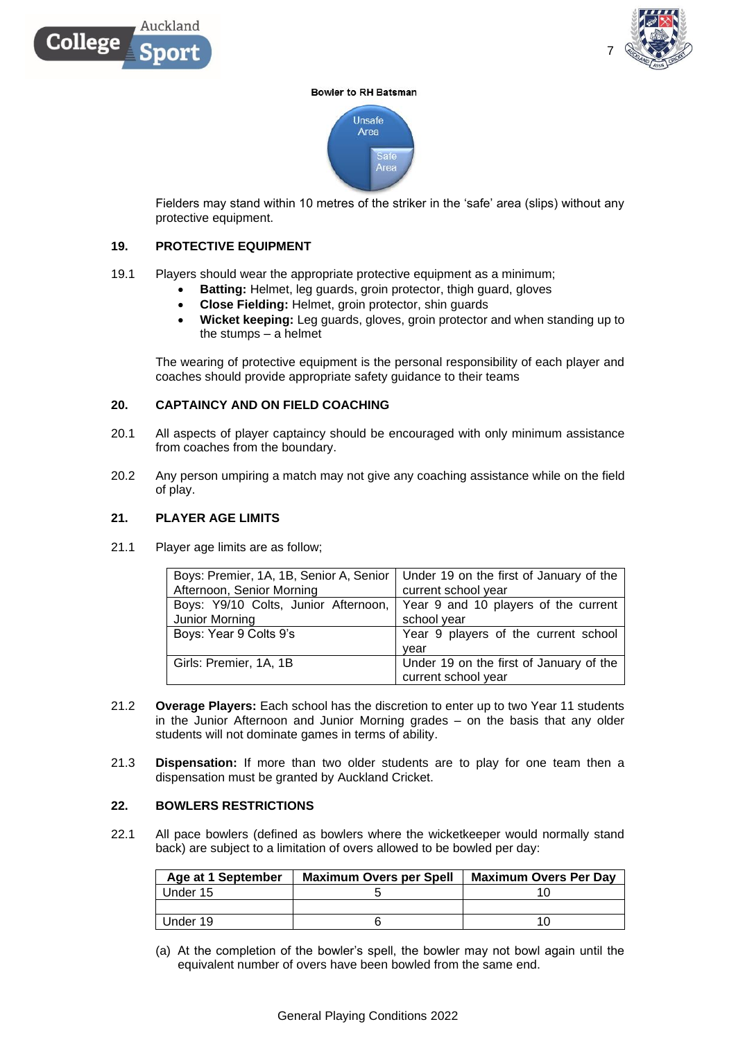



#### **Bowler to RH Batsman**



Fielders may stand within 10 metres of the striker in the 'safe' area (slips) without any protective equipment.

#### **19. PROTECTIVE EQUIPMENT**

- 19.1 Players should wear the appropriate protective equipment as a minimum;
	- **Batting:** Helmet, leg guards, groin protector, thigh guard, gloves
	- **Close Fielding:** Helmet, groin protector, shin guards
	- **Wicket keeping:** Leg guards, gloves, groin protector and when standing up to the stumps – a helmet

The wearing of protective equipment is the personal responsibility of each player and coaches should provide appropriate safety guidance to their teams

#### **20. CAPTAINCY AND ON FIELD COACHING**

- 20.1 All aspects of player captaincy should be encouraged with only minimum assistance from coaches from the boundary.
- 20.2 Any person umpiring a match may not give any coaching assistance while on the field of play.

### **21. PLAYER AGE LIMITS**

21.1 Player age limits are as follow;

|                                      | Boys: Premier, 1A, 1B, Senior A, Senior   Under 19 on the first of January of the |
|--------------------------------------|-----------------------------------------------------------------------------------|
| Afternoon, Senior Morning            | current school year                                                               |
| Boys: Y9/10 Colts, Junior Afternoon, | Year 9 and 10 players of the current                                              |
| Junior Morning                       | school year                                                                       |
| Boys: Year 9 Colts 9's               | Year 9 players of the current school                                              |
|                                      | vear                                                                              |
| Girls: Premier, 1A, 1B               | Under 19 on the first of January of the                                           |
|                                      | current school year                                                               |

- 21.2 **Overage Players:** Each school has the discretion to enter up to two Year 11 students in the Junior Afternoon and Junior Morning grades – on the basis that any older students will not dominate games in terms of ability.
- 21.3 **Dispensation:** If more than two older students are to play for one team then a dispensation must be granted by Auckland Cricket.

### **22. BOWLERS RESTRICTIONS**

22.1 All pace bowlers (defined as bowlers where the wicketkeeper would normally stand back) are subject to a limitation of overs allowed to be bowled per day:

| Age at 1 September | <b>Maximum Overs per Spell</b> | <b>Maximum Overs Per Day</b> |
|--------------------|--------------------------------|------------------------------|
| Under 15           |                                |                              |
|                    |                                |                              |
| Under 19           |                                |                              |

(a) At the completion of the bowler's spell, the bowler may not bowl again until the equivalent number of overs have been bowled from the same end.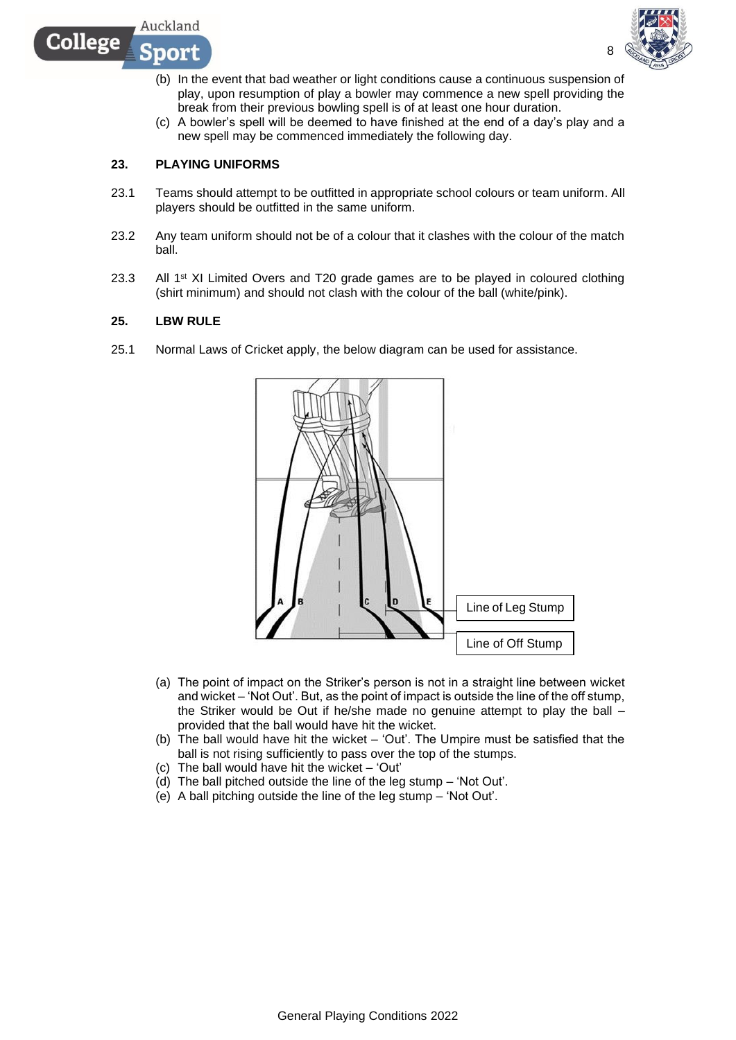

8

- (b) In the event that bad weather or light conditions cause a continuous suspension of play, upon resumption of play a bowler may commence a new spell providing the break from their previous bowling spell is of at least one hour duration.
- (c) A bowler's spell will be deemed to have finished at the end of a day's play and a new spell may be commenced immediately the following day.

## **23. PLAYING UNIFORMS**

Auckland

DOIT

College

- 23.1 Teams should attempt to be outfitted in appropriate school colours or team uniform. All players should be outfitted in the same uniform.
- 23.2 Any team uniform should not be of a colour that it clashes with the colour of the match ball.
- 23.3 All 1<sup>st</sup> XI Limited Overs and T20 grade games are to be played in coloured clothing (shirt minimum) and should not clash with the colour of the ball (white/pink).

## **25. LBW RULE**

25.1 Normal Laws of Cricket apply, the below diagram can be used for assistance.



- (a) The point of impact on the Striker's person is not in a straight line between wicket and wicket – 'Not Out'. But, as the point of impact is outside the line of the off stump, the Striker would be Out if he/she made no genuine attempt to play the ball – provided that the ball would have hit the wicket.
- (b) The ball would have hit the wicket 'Out'. The Umpire must be satisfied that the ball is not rising sufficiently to pass over the top of the stumps.
- (c) The ball would have hit the wicket 'Out'
- $(d)$  The ball pitched outside the line of the leg stump 'Not Out'.
- (e) A ball pitching outside the line of the leg stump 'Not Out'.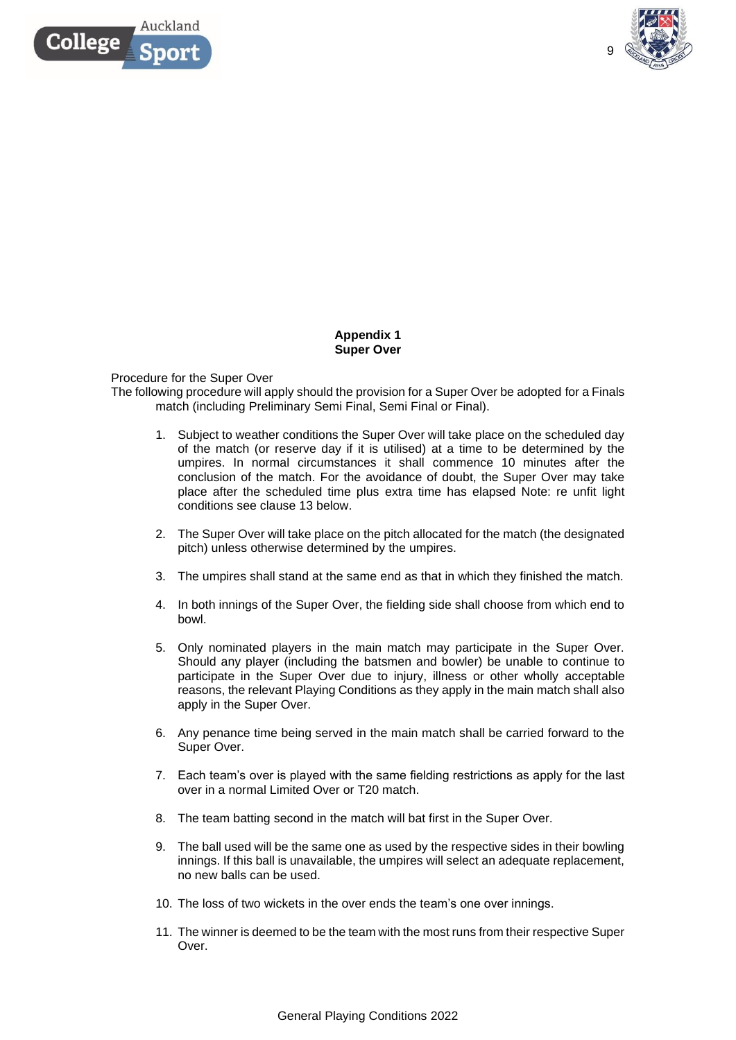



## **Appendix 1 Super Over**

### Procedure for the Super Over

The following procedure will apply should the provision for a Super Over be adopted for a Finals match (including Preliminary Semi Final, Semi Final or Final).

- 1. Subject to weather conditions the Super Over will take place on the scheduled day of the match (or reserve day if it is utilised) at a time to be determined by the umpires. In normal circumstances it shall commence 10 minutes after the conclusion of the match. For the avoidance of doubt, the Super Over may take place after the scheduled time plus extra time has elapsed Note: re unfit light conditions see clause 13 below.
- 2. The Super Over will take place on the pitch allocated for the match (the designated pitch) unless otherwise determined by the umpires.
- 3. The umpires shall stand at the same end as that in which they finished the match.
- 4. In both innings of the Super Over, the fielding side shall choose from which end to bowl.
- 5. Only nominated players in the main match may participate in the Super Over. Should any player (including the batsmen and bowler) be unable to continue to participate in the Super Over due to injury, illness or other wholly acceptable reasons, the relevant Playing Conditions as they apply in the main match shall also apply in the Super Over.
- 6. Any penance time being served in the main match shall be carried forward to the Super Over.
- 7. Each team's over is played with the same fielding restrictions as apply for the last over in a normal Limited Over or T20 match.
- 8. The team batting second in the match will bat first in the Super Over.
- 9. The ball used will be the same one as used by the respective sides in their bowling innings. If this ball is unavailable, the umpires will select an adequate replacement, no new balls can be used.
- 10. The loss of two wickets in the over ends the team's one over innings.
- 11. The winner is deemed to be the team with the most runs from their respective Super Over.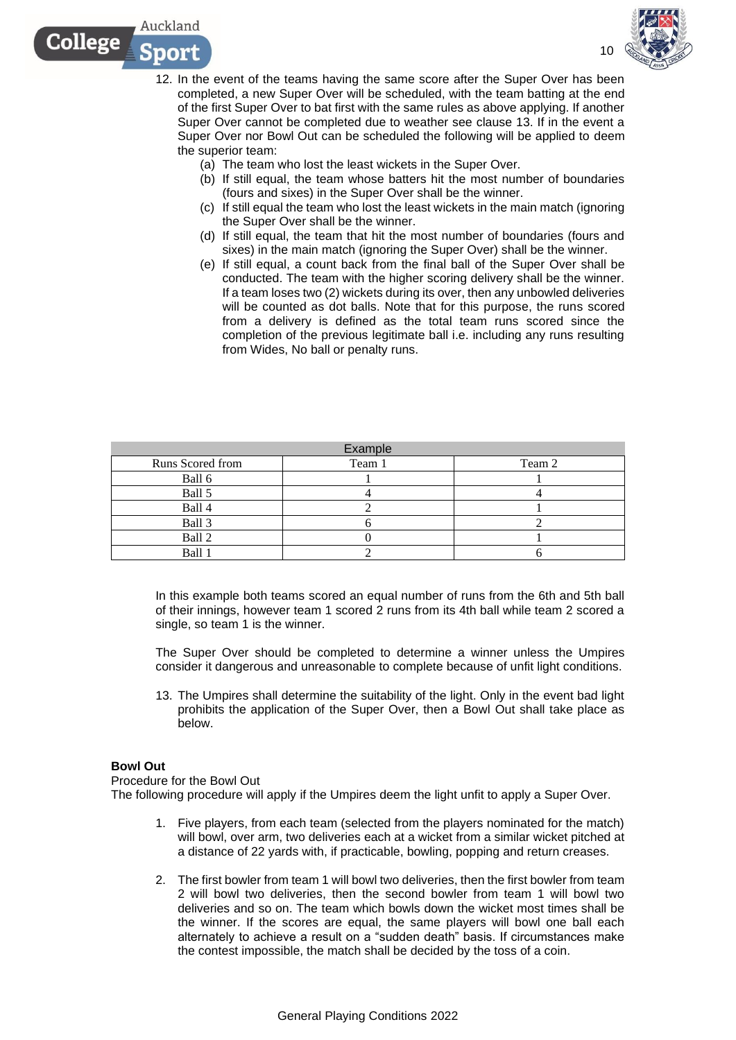

- 12. In the event of the teams having the same score after the Super Over has been completed, a new Super Over will be scheduled, with the team batting at the end of the first Super Over to bat first with the same rules as above applying. If another Super Over cannot be completed due to weather see clause 13. If in the event a Super Over nor Bowl Out can be scheduled the following will be applied to deem the superior team:
	- (a) The team who lost the least wickets in the Super Over.
	- (b) If still equal, the team whose batters hit the most number of boundaries (fours and sixes) in the Super Over shall be the winner.
	- (c) If still equal the team who lost the least wickets in the main match (ignoring the Super Over shall be the winner.
	- (d) If still equal, the team that hit the most number of boundaries (fours and sixes) in the main match (ignoring the Super Over) shall be the winner.
	- (e) If still equal, a count back from the final ball of the Super Over shall be conducted. The team with the higher scoring delivery shall be the winner. If a team loses two (2) wickets during its over, then any unbowled deliveries will be counted as dot balls. Note that for this purpose, the runs scored from a delivery is defined as the total team runs scored since the completion of the previous legitimate ball i.e. including any runs resulting from Wides, No ball or penalty runs.

| Example          |        |        |  |  |
|------------------|--------|--------|--|--|
| Runs Scored from | Team 1 | Team 2 |  |  |
| Ball 6           |        |        |  |  |
| Ball 5           |        |        |  |  |
| Ball 4           |        |        |  |  |
| Ball 3           |        |        |  |  |
| Ball 2           |        |        |  |  |
| Ball 1           |        |        |  |  |

In this example both teams scored an equal number of runs from the 6th and 5th ball of their innings, however team 1 scored 2 runs from its 4th ball while team 2 scored a single, so team 1 is the winner.

The Super Over should be completed to determine a winner unless the Umpires consider it dangerous and unreasonable to complete because of unfit light conditions.

13. The Umpires shall determine the suitability of the light. Only in the event bad light prohibits the application of the Super Over, then a Bowl Out shall take place as below.

#### **Bowl Out**

Procedure for the Bowl Out

Auckland

non

College

The following procedure will apply if the Umpires deem the light unfit to apply a Super Over.

- 1. Five players, from each team (selected from the players nominated for the match) will bowl, over arm, two deliveries each at a wicket from a similar wicket pitched at a distance of 22 yards with, if practicable, bowling, popping and return creases.
- 2. The first bowler from team 1 will bowl two deliveries, then the first bowler from team 2 will bowl two deliveries, then the second bowler from team 1 will bowl two deliveries and so on. The team which bowls down the wicket most times shall be the winner. If the scores are equal, the same players will bowl one ball each alternately to achieve a result on a "sudden death" basis. If circumstances make the contest impossible, the match shall be decided by the toss of a coin.